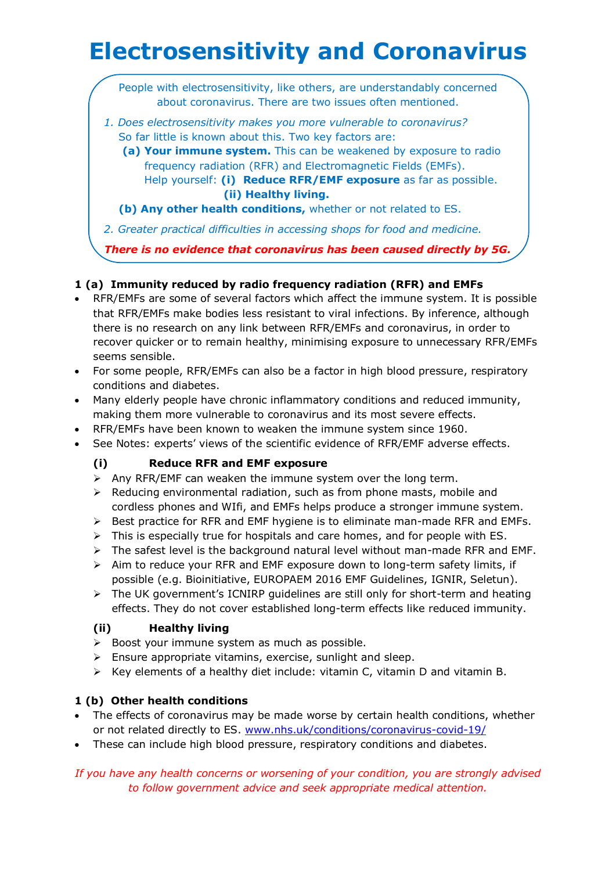# **Electrosensitivity and Coronavirus**

People with electrosensitivity, like others, are understandably concerned about coronavirus. There are two issues often mentioned.

- *1. Does electrosensitivity makes you more vulnerable to coronavirus?* So far little is known about this. Two key factors are:
	- **(a) Your immune system.** This can be weakened by exposure to radio frequency radiation (RFR) and Electromagnetic Fields (EMFs). Help yourself: **(i) Reduce RFR/EMF exposure** as far as possible. **(ii) Healthy living.**
	- **(b) Any other health conditions,** whether or not related to ES.

*2. Greater practical difficulties in accessing shops for food and medicine.*

*There is no evidence that coronavirus has been caused directly by 5G.*

# **1 (a) Immunity reduced by radio frequency radiation (RFR) and EMFs**

- RFR/EMFs are some of several factors which affect the immune system. It is possible that RFR/EMFs make bodies less resistant to viral infections. By inference, although there is no research on any link between RFR/EMFs and coronavirus, in order to recover quicker or to remain healthy, minimising exposure to unnecessary RFR/EMFs seems sensible.
- For some people, RFR/EMFs can also be a factor in high blood pressure, respiratory conditions and diabetes.
- Many elderly people have chronic inflammatory conditions and reduced immunity, making them more vulnerable to coronavirus and its most severe effects.
- RFR/EMFs have been known to weaken the immune system since 1960.
- See Notes: experts' views of the scientific evidence of RFR/EMF adverse effects.

# **(i) Reduce RFR and EMF exposure**

- $\triangleright$  Any RFR/EMF can weaken the immune system over the long term.
- $\triangleright$  Reducing environmental radiation, such as from phone masts, mobile and cordless phones and WIfi, and EMFs helps produce a stronger immune system.
- $\triangleright$  Best practice for RFR and EMF hygiene is to eliminate man-made RFR and EMFs.
- $\triangleright$  This is especially true for hospitals and care homes, and for people with ES.
- $\triangleright$  The safest level is the background natural level without man-made RFR and EMF.
- $\triangleright$  Aim to reduce your RFR and EMF exposure down to long-term safety limits, if possible (e.g. Bioinitiative, EUROPAEM 2016 EMF Guidelines, IGNIR, Seletun).
- ➢ The UK government's ICNIRP guidelines are still only for short-term and heating effects. They do not cover established long-term effects like reduced immunity.

# **(ii) Healthy living**

- ➢ Boost your immune system as much as possible.
- $\triangleright$  Ensure appropriate vitamins, exercise, sunlight and sleep.
- ➢ Key elements of a healthy diet include: vitamin C, vitamin D and vitamin B.

# **1 (b) Other health conditions**

- The effects of coronavirus may be made worse by certain health conditions, whether or not related directly to ES. [www.nhs.uk/conditions/coronavirus-covid-19/](http://www.nhs.uk/conditions/coronavirus-covid-19/)
- These can include high blood pressure, respiratory conditions and diabetes.

*If you have any health concerns or worsening of your condition, you are strongly advised to follow government advice and seek appropriate medical attention.*